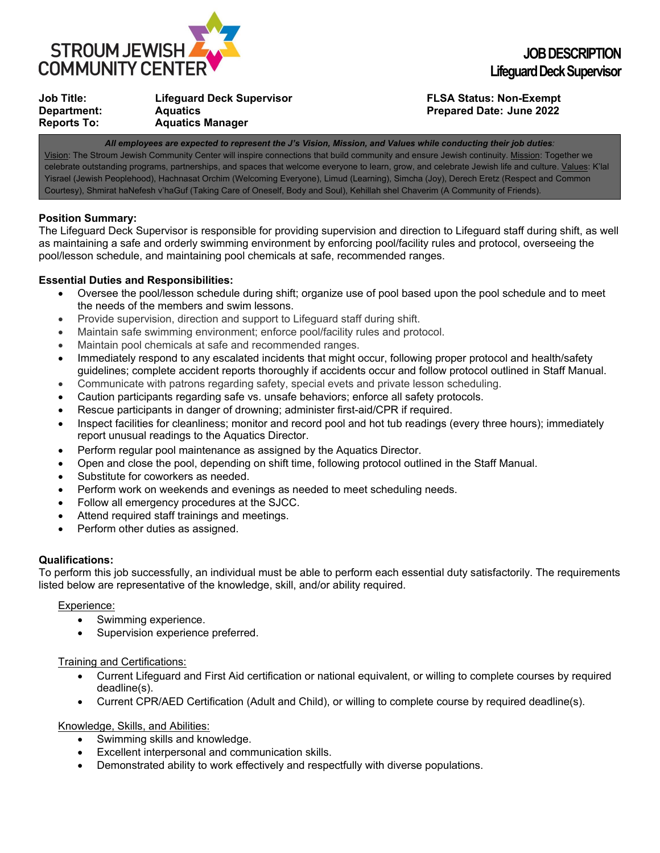

| Job Title:         | <b>Lifeguard Deck Supervisor</b> |
|--------------------|----------------------------------|
| Department:        | <b>Aquatics</b>                  |
| <b>Reports To:</b> | <b>Aquatics Manager</b>          |

# **Job Title: Lifeguard Deck Supervisor FLSA Status: Non-Exempt Prepared Date: June 2022**

*All employees are expected to represent the J's Vision, Mission, and Values while conducting their job duties:* Vision: The Stroum Jewish Community Center will inspire connections that build community and ensure Jewish continuity. Mission: Together we celebrate outstanding programs, partnerships, and spaces that welcome everyone to learn, grow, and celebrate Jewish life and culture. Values: K'lal Yisrael (Jewish Peoplehood), Hachnasat Orchim (Welcoming Everyone), Limud (Learning), Simcha (Joy), Derech Eretz (Respect and Common Courtesy), Shmirat haNefesh v'haGuf (Taking Care of Oneself, Body and Soul), Kehillah shel Chaverim (A Community of Friends).

# **Position Summary:**

The Lifeguard Deck Supervisor is responsible for providing supervision and direction to Lifeguard staff during shift, as well as maintaining a safe and orderly swimming environment by enforcing pool/facility rules and protocol, overseeing the pool/lesson schedule, and maintaining pool chemicals at safe, recommended ranges.

# **Essential Duties and Responsibilities:**

- Oversee the pool/lesson schedule during shift; organize use of pool based upon the pool schedule and to meet the needs of the members and swim lessons.
- Provide supervision, direction and support to Lifeguard staff during shift.
- Maintain safe swimming environment; enforce pool/facility rules and protocol.
- Maintain pool chemicals at safe and recommended ranges.
- Immediately respond to any escalated incidents that might occur, following proper protocol and health/safety guidelines; complete accident reports thoroughly if accidents occur and follow protocol outlined in Staff Manual.
- Communicate with patrons regarding safety, special evets and private lesson scheduling.
- Caution participants regarding safe vs. unsafe behaviors; enforce all safety protocols.
- Rescue participants in danger of drowning; administer first-aid/CPR if required.
- Inspect facilities for cleanliness; monitor and record pool and hot tub readings (every three hours); immediately report unusual readings to the Aquatics Director.
- Perform regular pool maintenance as assigned by the Aquatics Director.
- Open and close the pool, depending on shift time, following protocol outlined in the Staff Manual.
- Substitute for coworkers as needed.
- Perform work on weekends and evenings as needed to meet scheduling needs.
- Follow all emergency procedures at the SJCC.
- Attend required staff trainings and meetings.
- Perform other duties as assigned.

#### **Qualifications:**

To perform this job successfully, an individual must be able to perform each essential duty satisfactorily. The requirements listed below are representative of the knowledge, skill, and/or ability required.

#### Experience:

- Swimming experience.
- Supervision experience preferred.

#### Training and Certifications:

- Current Lifeguard and First Aid certification or national equivalent, or willing to complete courses by required deadline(s).
- Current CPR/AED Certification (Adult and Child), or willing to complete course by required deadline(s).

#### Knowledge, Skills, and Abilities:

- Swimming skills and knowledge.
- Excellent interpersonal and communication skills.
- Demonstrated ability to work effectively and respectfully with diverse populations.